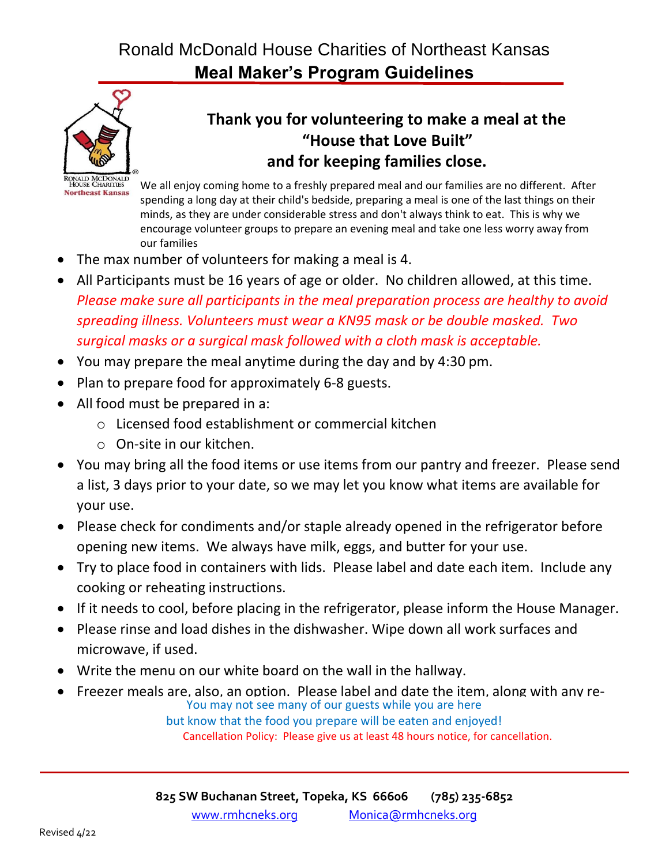# Ronald McDonald House Charities of Northeast Kansas **Meal Maker's Program Guidelines**



## **Thank you for volunteering to make a meal at the "House that Love Built" and for keeping families close.**

We all enjoy coming home to a freshly prepared meal and our families are no different. After spending a long day at their child's bedside, preparing a meal is one of the last things on their minds, as they are under considerable stress and don't always think to eat. This is why we encourage volunteer groups to prepare an evening meal and take one less worry away from our families

- The max number of volunteers for making a meal is 4.
- All Participants must be 16 years of age or older. No children allowed, at this time. *Please make sure all participants in the meal preparation process are healthy to avoid spreading illness. Volunteers must wear a KN95 mask or be double masked. Two surgical masks or a surgical mask followed with a cloth mask is acceptable.*
- You may prepare the meal anytime during the day and by 4:30 pm.
- Plan to prepare food for approximately 6-8 guests.
- All food must be prepared in a:
	- o Licensed food establishment or commercial kitchen
	- o On-site in our kitchen.
- You may bring all the food items or use items from our pantry and freezer. Please send a list, 3 days prior to your date, so we may let you know what items are available for your use.
- Please check for condiments and/or staple already opened in the refrigerator before opening new items. We always have milk, eggs, and butter for your use.
- Try to place food in containers with lids. Please label and date each item. Include any cooking or reheating instructions.
- If it needs to cool, before placing in the refrigerator, please inform the House Manager.
- Please rinse and load dishes in the dishwasher. Wipe down all work surfaces and microwave, if used.
- Write the menu on our white board on the wall in the hallway.
- Freezer meals are, also, an option. Please label and date the item, along with any re-

rou may not see many or our guests wrife you are nere<br>but know that the food you prepare will be eaten and enjoyed! You may not see many of our guests while you are here Cancellation Policy: Please give us at least 48 hours notice, for cancellation.